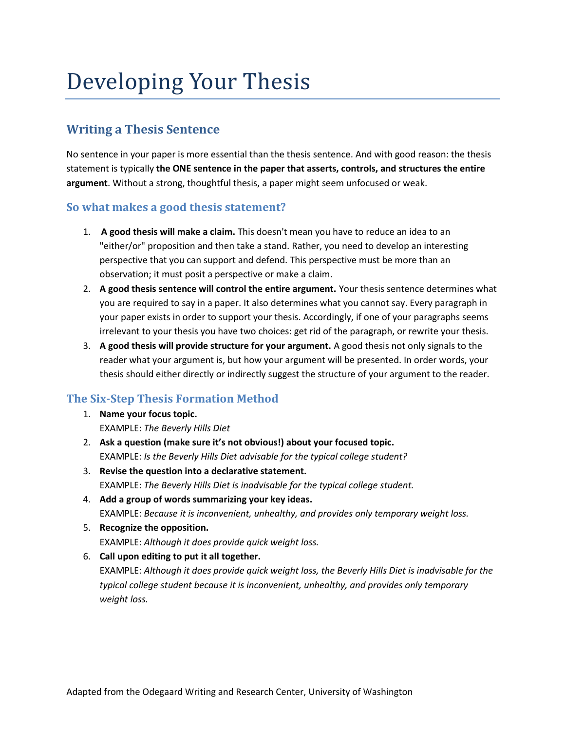# Developing Your Thesis

## **Writing a Thesis Sentence**

No sentence in your paper is more essential than the thesis sentence. And with good reason: the thesis statement is typically **the ONE sentence in the paper that asserts, controls, and structures the entire argument**. Without a strong, thoughtful thesis, a paper might seem unfocused or weak.

#### **So what makes a good thesis statement?**

- 1. **A good thesis will make a claim.** This doesn't mean you have to reduce an idea to an "either/or" proposition and then take a stand. Rather, you need to develop an interesting perspective that you can support and defend. This perspective must be more than an observation; it must posit a perspective or make a claim.
- 2. **A good thesis sentence will control the entire argument.** Your thesis sentence determines what you are required to say in a paper. It also determines what you cannot say. Every paragraph in your paper exists in order to support your thesis. Accordingly, if one of your paragraphs seems irrelevant to your thesis you have two choices: get rid of the paragraph, or rewrite your thesis.
- 3. **A good thesis will provide structure for your argument.** A good thesis not only signals to the reader what your argument is, but how your argument will be presented. In order words, your thesis should either directly or indirectly suggest the structure of your argument to the reader.

#### **The Six-Step Thesis Formation Method**

- 1. **Name your focus topic.** EXAMPLE: *The Beverly Hills Diet*
- 2. **Ask a question (make sure it's not obvious!) about your focused topic.** EXAMPLE: *Is the Beverly Hills Diet advisable for the typical college student?*
- 3. **Revise the question into a declarative statement.** EXAMPLE: *The Beverly Hills Diet is inadvisable for the typical college student.*
- 4. **Add a group of words summarizing your key ideas.** EXAMPLE: *Because it is inconvenient, unhealthy, and provides only temporary weight loss.*
- 5. **Recognize the opposition.** EXAMPLE: *Although it does provide quick weight loss.*
- 6. **Call upon editing to put it all together.** EXAMPLE: *Although it does provide quick weight loss, the Beverly Hills Diet is inadvisable for the typical college student because it is inconvenient, unhealthy, and provides only temporary weight loss.*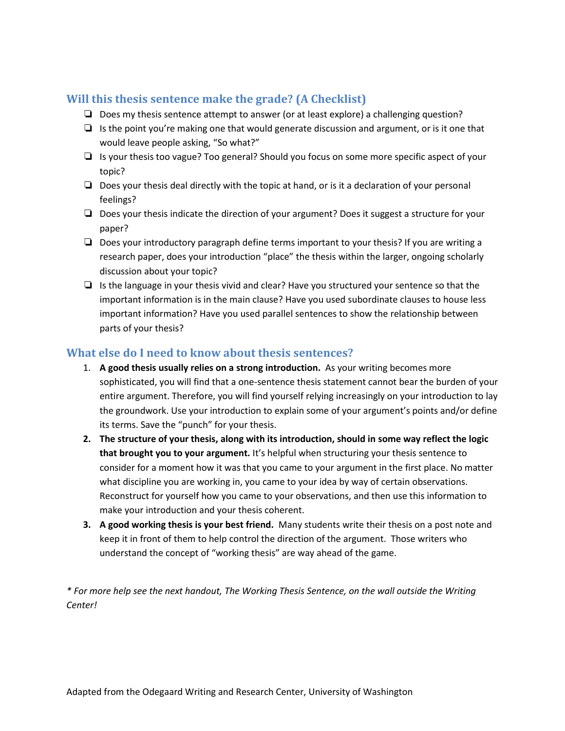### **Will this thesis sentence make the grade? (A Checklist)**

- ❏ Does my thesis sentence attempt to answer (or at least explore) a challenging question?
- $\Box$  Is the point you're making one that would generate discussion and argument, or is it one that would leave people asking, "So what?"
- ❏ Is your thesis too vague? Too general? Should you focus on some more specific aspect of your topic?
- ❏ Does your thesis deal directly with the topic at hand, or is it a declaration of your personal feelings?
- ❏ Does your thesis indicate the direction of your argument? Does it suggest a structure for your paper?
- ❏ Does your introductory paragraph define terms important to your thesis? If you are writing a research paper, does your introduction "place" the thesis within the larger, ongoing scholarly discussion about your topic?
- $\Box$  Is the language in your thesis vivid and clear? Have you structured your sentence so that the important information is in the main clause? Have you used subordinate clauses to house less important information? Have you used parallel sentences to show the relationship between parts of your thesis?

#### **What else do I need to know about thesis sentences?**

- 1. **A good thesis usually relies on a strong introduction.** As your writing becomes more sophisticated, you will find that a one-sentence thesis statement cannot bear the burden of your entire argument. Therefore, you will find yourself relying increasingly on your introduction to lay the groundwork. Use your introduction to explain some of your argument's points and/or define its terms. Save the "punch" for your thesis.
- **2. The structure of your thesis, along with its introduction, should in some way reflect the logic that brought you to your argument.** It's helpful when structuring your thesis sentence to consider for a moment how it was that you came to your argument in the first place. No matter what discipline you are working in, you came to your idea by way of certain observations. Reconstruct for yourself how you came to your observations, and then use this information to make your introduction and your thesis coherent.
- **3. A good working thesis is your best friend.** Many students write their thesis on a post note and keep it in front of them to help control the direction of the argument. Those writers who understand the concept of "working thesis" are way ahead of the game.

*\* For more help see the next handout, The Working Thesis Sentence, on the wall outside the Writing Center!*